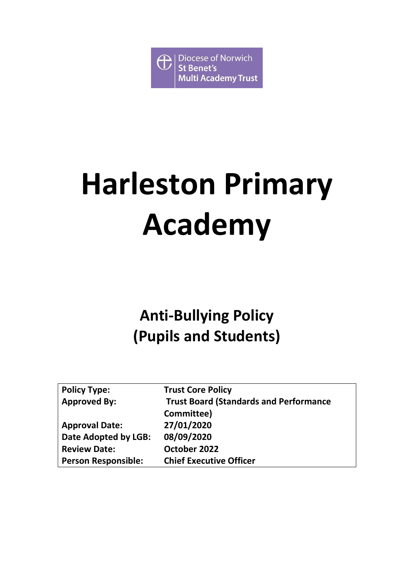$\bigoplus$ **Diocese of Norwich St Benet's Multi Academy Trust** 

# **Harleston Primary Academy**

# **Anti-Bullying Policy (Pupils and Students)**

| <b>Policy Type:</b>        | <b>Trust Core Policy</b>                      |
|----------------------------|-----------------------------------------------|
| <b>Approved By:</b>        | <b>Trust Board (Standards and Performance</b> |
|                            | Committee)                                    |
| <b>Approval Date:</b>      | 27/01/2020                                    |
| Date Adopted by LGB:       | 08/09/2020                                    |
| <b>Review Date:</b>        | October 2022                                  |
| <b>Person Responsible:</b> | <b>Chief Executive Officer</b>                |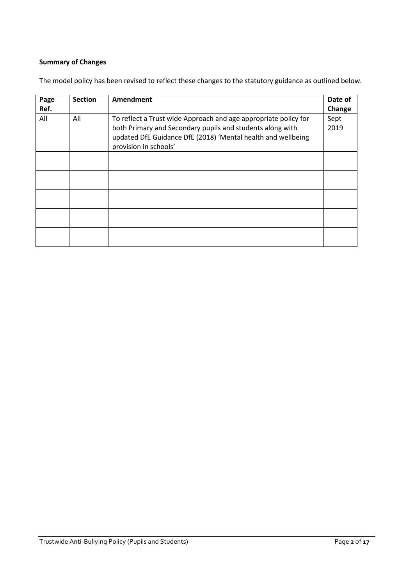### **Summary of Changes**

| Page<br>Ref. | <b>Section</b> | Amendment                                                                                                                                                                                                             | Date of<br>Change |
|--------------|----------------|-----------------------------------------------------------------------------------------------------------------------------------------------------------------------------------------------------------------------|-------------------|
| All          | All            | To reflect a Trust wide Approach and age appropriate policy for<br>both Primary and Secondary pupils and students along with<br>updated DfE Guidance DfE (2018) 'Mental health and wellbeing<br>provision in schools' | Sept<br>2019      |
|              |                |                                                                                                                                                                                                                       |                   |
|              |                |                                                                                                                                                                                                                       |                   |
|              |                |                                                                                                                                                                                                                       |                   |
|              |                |                                                                                                                                                                                                                       |                   |
|              |                |                                                                                                                                                                                                                       |                   |

The model policy has been revised to reflect these changes to the statutory guidance as outlined below.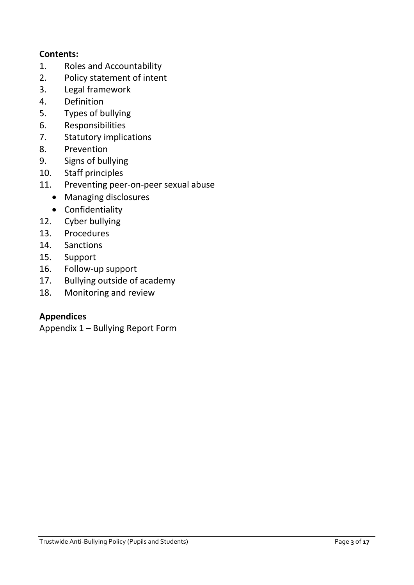# **Contents:**

- 1. Roles and Accountability
- 2. Policy statement of intent
- 3. [Legal framework](file:///C:/Users/SharonMoney/Desktop/Anti-bullying_Policy_%20Pupils_20180119%20(1).docx%23_Legal_framework_1)
- 4. [Definition](file:///C:/Users/SharonMoney/Desktop/Anti-bullying_Policy_%20Pupils_20180119%20(1).docx%23_Definition_1)
- 5. [Types of bullying](file:///C:/Users/SharonMoney/Desktop/Anti-bullying_Policy_%20Pupils_20180119%20(1).docx%23_Types_of_bullying)
- 6. [Responsibilities](file:///C:/Users/SharonMoney/Desktop/Anti-bullying_Policy_%20Pupils_20180119%20(1).docx%23_Roles_and_responsibilities)
- 7. [Statutory implications](file:///C:/Users/SharonMoney/Desktop/Anti-bullying_Policy_%20Pupils_20180119%20(1).docx%23_Statutory_implications)
- 8. [Prevention](file:///C:/Users/SharonMoney/Desktop/Anti-bullying_Policy_%20Pupils_20180119%20(1).docx%23_Prevention)
- 9. [Signs of bullying](file:///C:/Users/SharonMoney/Desktop/Anti-bullying_Policy_%20Pupils_20180119%20(1).docx%23_Signs_of_bullying)
- 10. [Staff principles](file:///C:/Users/SharonMoney/Desktop/Anti-bullying_Policy_%20Pupils_20180119%20(1).docx%23_Staff_principles)
- 11. [Preventing peer-on-peer sexual abuse](file:///C:/Users/SharonMoney/Desktop/Anti-bullying_Policy_%20Pupils_20180119%20(1).docx%23_Preventing_peer-on-peer_sexual)
	- Managing disclosures
	- Confidentiality
- 12. [Cyber bullying](file:///C:/Users/SharonMoney/Desktop/Anti-bullying_Policy_%20Pupils_20180119%20(1).docx%23_Cyber_bullying)
- 13. [Procedures](file:///C:/Users/SharonMoney/Desktop/Anti-bullying_Policy_%20Pupils_20180119%20(1).docx%23_Procedures)
- 14. [Sanctions](file:///C:/Users/SharonMoney/Desktop/Anti-bullying_Policy_%20Pupils_20180119%20(1).docx%23_Sanctions)
- 15. [Support](file:///C:/Users/SharonMoney/Desktop/Anti-bullying_Policy_%20Pupils_20180119%20(1).docx%23_Support)
- 16. [Follow-up support](file:///C:/Users/SharonMoney/Desktop/Anti-bullying_Policy_%20Pupils_20180119%20(1).docx%23_Follow_up_support)
- 17. [Bullying outside of academy](file:///C:/Users/SharonMoney/Desktop/Anti-bullying_Policy_%20Pupils_20180119%20(1).docx%23_Bullying_outside_of)
- 18. [Monitoring and review](file:///C:/Users/SharonMoney/Desktop/Anti-bullying_Policy_%20Pupils_20180119%20(1).docx%23_Monitoring_and_review)

# **Appendices**

[Appendix 1](file:///C:/Users/SharonMoney/Desktop/Anti-bullying_Policy_%20Pupils_20180119%20(1).docx%23AppendixTitle1) – Bullying Report Form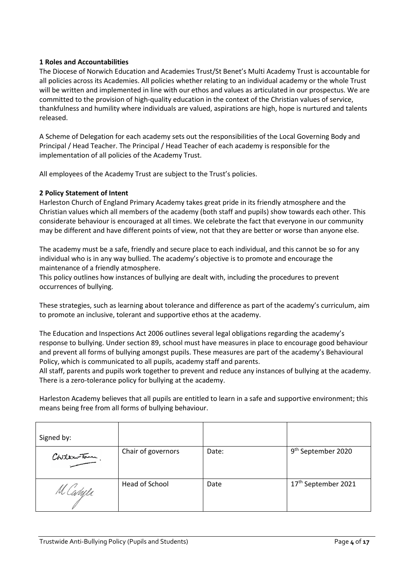#### **1 Roles and Accountabilities**

The Diocese of Norwich Education and Academies Trust/St Benet's Multi Academy Trust is accountable for all policies across its Academies. All policies whether relating to an individual academy or the whole Trust will be written and implemented in line with our ethos and values as articulated in our prospectus. We are committed to the provision of high-quality education in the context of the Christian values of service, thankfulness and humility where individuals are valued, aspirations are high, hope is nurtured and talents released.

A Scheme of Delegation for each academy sets out the responsibilities of the Local Governing Body and Principal / Head Teacher. The Principal / Head Teacher of each academy is responsible for the implementation of all policies of the Academy Trust.

All employees of the Academy Trust are subject to the Trust's policies.

#### **2 Policy Statement of Intent**

Harleston Church of England Primary Academy takes great pride in its friendly atmosphere and the Christian values which all members of the academy (both staff and pupils) show towards each other. This considerate behaviour is encouraged at all times. We celebrate the fact that everyone in our community may be different and have different points of view, not that they are better or worse than anyone else.

The academy must be a safe, friendly and secure place to each individual, and this cannot be so for any individual who is in any way bullied. The academy's objective is to promote and encourage the maintenance of a friendly atmosphere.

This policy outlines how instances of bullying are dealt with, including the procedures to prevent occurrences of bullying.

These strategies, such as learning about tolerance and difference as part of the academy's curriculum, aim to promote an inclusive, tolerant and supportive ethos at the academy.

The Education and Inspections Act 2006 outlines several legal obligations regarding the academy's response to bullying. Under section 89, school must have measures in place to encourage good behaviour and prevent all forms of bullying amongst pupils. These measures are part of the academy's Behavioural Policy, which is communicated to all pupils, academy staff and parents.

All staff, parents and pupils work together to prevent and reduce any instances of bullying at the academy. There is a zero-tolerance policy for bullying at the academy.

Harleston Academy believes that all pupils are entitled to learn in a safe and supportive environment; this means being free from all forms of bullying behaviour.

| Signed by:   |                    |       |                                |
|--------------|--------------------|-------|--------------------------------|
| Childrenton. | Chair of governors | Date: | 9 <sup>th</sup> September 2020 |
| M Caryle     | Head of School     | Date  | 17th September 2021            |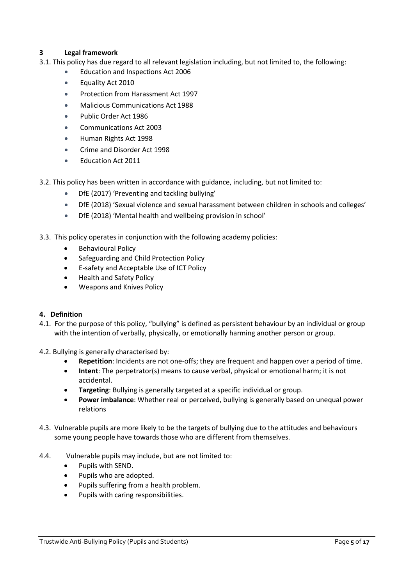#### **3 Legal framework**

- 3.1. This policy has due regard to all relevant legislation including, but not limited to, the following:
	- Education and Inspections Act 2006
	- Equality Act 2010
	- Protection from Harassment Act 1997
	- Malicious Communications Act 1988
	- Public Order Act 1986
	- Communications Act 2003
	- Human Rights Act 1998
	- Crime and Disorder Act 1998
	- Education Act 2011
- 3.2. This policy has been written in accordance with guidance, including, but not limited to:
	- DfE (2017) 'Preventing and tackling bullying'
	- DfE (2018) 'Sexual violence and sexual harassment between children in schools and colleges'
	- DfE (2018) 'Mental health and wellbeing provision in school'
- 3.3. This policy operates in conjunction with the following academy policies:
	- Behavioural Policy
	- Safeguarding and Child Protection Policy
	- E-safety and Acceptable Use of ICT Policy
	- Health and Safety Policy
	- Weapons and Knives Policy

#### **4. Definition**

- 4.1. For the purpose of this policy, "bullying" is defined as persistent behaviour by an individual or group with the intention of verbally, physically, or emotionally harming another person or group.
- 4.2. Bullying is generally characterised by:
	- **Repetition**: Incidents are not one-offs; they are frequent and happen over a period of time.
	- **Intent**: The perpetrator(s) means to cause verbal, physical or emotional harm; it is not accidental.
	- **Targeting**: Bullying is generally targeted at a specific individual or group.
	- **Power imbalance**: Whether real or perceived, bullying is generally based on unequal power relations
- 4.3. Vulnerable pupils are more likely to be the targets of bullying due to the attitudes and behaviours some young people have towards those who are different from themselves.
- 4.4. Vulnerable pupils may include, but are not limited to:
	- Pupils with SEND.
	- Pupils who are adopted.
	- Pupils suffering from a health problem.
	- Pupils with caring responsibilities.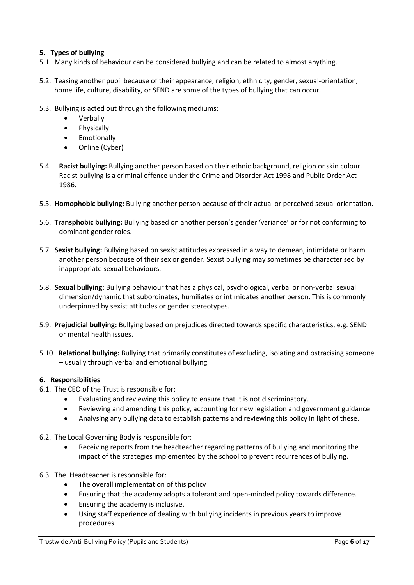#### **5. Types of bullying**

- 5.1. Many kinds of behaviour can be considered bullying and can be related to almost anything.
- 5.2. Teasing another pupil because of their appearance, religion, ethnicity, gender, sexual-orientation, home life, culture, disability, or SEND are some of the types of bullying that can occur.
- 5.3. Bullying is acted out through the following mediums:
	- Verbally
	- Physically
	- Emotionally
	- Online (Cyber)
- 5.4. **Racist bullying:** Bullying another person based on their ethnic background, religion or skin colour. Racist bullying is a criminal offence under the Crime and Disorder Act 1998 and Public Order Act 1986.
- 5.5. **Homophobic bullying:** Bullying another person because of their actual or perceived sexual orientation.
- 5.6. **Transphobic bullying:** Bullying based on another person's gender 'variance' or for not conforming to dominant gender roles.
- 5.7. **Sexist bullying:** Bullying based on sexist attitudes expressed in a way to demean, intimidate or harm another person because of their sex or gender. Sexist bullying may sometimes be characterised by inappropriate sexual behaviours.
- 5.8. **Sexual bullying:** Bullying behaviour that has a physical, psychological, verbal or non-verbal sexual dimension/dynamic that subordinates, humiliates or intimidates another person. This is commonly underpinned by sexist attitudes or gender stereotypes.
- 5.9. **Prejudicial bullying:** Bullying based on prejudices directed towards specific characteristics, e.g. SEND or mental health issues.
- 5.10. **Relational bullying:** Bullying that primarily constitutes of excluding, isolating and ostracising someone – usually through verbal and emotional bullying.

#### **6. Responsibilities**

- 6.1. The CEO of the Trust is responsible for:
	- Evaluating and reviewing this policy to ensure that it is not discriminatory.
	- Reviewing and amending this policy, accounting for new legislation and government guidance
	- Analysing any bullying data to establish patterns and reviewing this policy in light of these.
- 6.2. The Local Governing Body is responsible for:
	- Receiving reports from the headteacher regarding patterns of bullying and monitoring the impact of the strategies implemented by the school to prevent recurrences of bullying.
- 6.3. The Headteacher is responsible for:
	- The overall implementation of this policy
	- Ensuring that the academy adopts a tolerant and open-minded policy towards difference.
	- Ensuring the academy is inclusive.
	- Using staff experience of dealing with bullying incidents in previous years to improve procedures.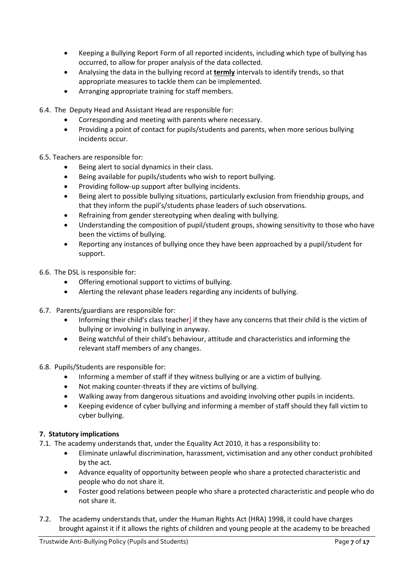- Keeping [a Bullying Report Form](file:///C:/Users/SharonMoney/Desktop/Anti-bullying_Policy_%20Pupils_20180119%20(1).docx%23_Bullying_Report_Form) of all reported incidents, including which type of bullying has occurred, to allow for proper analysis of the data collected.
- Analysing the data in the bullying record at **termly** intervals to identify trends, so that appropriate measures to tackle them can be implemented.
- Arranging appropriate training for staff members.
- 6.4. The Deputy Head and Assistant Head are responsible for:
	- Corresponding and meeting with parents where necessary.
	- Providing a point of contact for pupils/students and parents, when more serious bullying incidents occur.
- 6.5. Teachers are responsible for:
	- Being alert to social dynamics in their class.
	- Being available for pupils/students who wish to report bullying.
	- Providing follow-up support after bullying incidents.
	- Being alert to possible bullying situations, particularly exclusion from friendship groups, and that they inform the pupil's/students phase leaders of such observations.
	- Refraining from gender stereotyping when dealing with bullying.
	- Understanding the composition of pupil/student groups, showing sensitivity to those who have been the victims of bullying.
	- Reporting any instances of bullying once they have been approached by a pupil/student for support.
- 6.6. The DSL is responsible for:
	- Offering emotional support to victims of bullying.
	- Alerting the relevant phase leaders regarding any incidents of bullying.
- 6.7. Parents/guardians are responsible for:
	- Informing their child's class teacher] if they have any concerns that their child is the victim of bullying or involving in bullying in anyway.
	- Being watchful of their child's behaviour, attitude and characteristics and informing the relevant staff members of any changes.
- 6.8. Pupils/Students are responsible for:
	- Informing a member of staff if they witness bullying or are a victim of bullying.
	- Not making counter-threats if they are victims of bullying.
	- Walking away from dangerous situations and avoiding involving other pupils in incidents.
	- Keeping evidence of cyber bullying and informing a member of staff should they fall victim to cyber bullying.

#### **7. Statutory implications**

- 7.1. The academy understands that, under the Equality Act 2010, it has a responsibility to:
	- Eliminate unlawful discrimination, harassment, victimisation and any other conduct prohibited by the act.
	- Advance equality of opportunity between people who share a protected characteristic and people who do not share it.
	- Foster good relations between people who share a protected characteristic and people who do not share it.
- 7.2. The academy understands that, under the Human Rights Act (HRA) 1998, it could have charges brought against it if it allows the rights of children and young people at the academy to be breached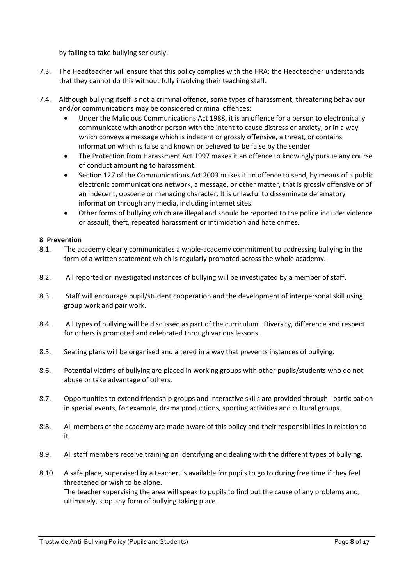by failing to take bullying seriously.

- 7.3. The Headteacher will ensure that this policy complies with the HRA; the Headteacher understands that they cannot do this without fully involving their teaching staff.
- 7.4. Although bullying itself is not a criminal offence, some types of harassment, threatening behaviour and/or communications may be considered criminal offences:
	- Under the Malicious Communications Act 1988, it is an offence for a person to electronically communicate with another person with the intent to cause distress or anxiety, or in a way which conveys a message which is indecent or grossly offensive, a threat, or contains information which is false and known or believed to be false by the sender.
	- The Protection from Harassment Act 1997 makes it an offence to knowingly pursue any course of conduct amounting to harassment.
	- Section 127 of the Communications Act 2003 makes it an offence to send, by means of a public electronic communications network, a message, or other matter, that is grossly offensive or of an indecent, obscene or menacing character. It is unlawful to disseminate defamatory information through any media, including internet sites.
	- Other forms of bullying which are illegal and should be reported to the police include: violence or assault, theft, repeated harassment or intimidation and hate crimes.

#### **8 Prevention**

- 8.1. The academy clearly communicates a whole-academy commitment to addressing bullying in the form of a written statement which is regularly promoted across the whole academy.
- 8.2. All reported or investigated instances of bullying will be investigated by a member of staff.
- 8.3. Staff will encourage pupil/student cooperation and the development of interpersonal skill using group work and pair work.
- 8.4. All types of bullying will be discussed as part of the curriculum. Diversity, difference and respect for others is promoted and celebrated through various lessons.
- 8.5. Seating plans will be organised and altered in a way that prevents instances of bullying.
- 8.6. Potential victims of bullying are placed in working groups with other pupils/students who do not abuse or take advantage of others.
- 8.7. Opportunities to extend friendship groups and interactive skills are provided through participation in special events, for example, drama productions, sporting activities and cultural groups.
- 8.8. All members of the academy are made aware of this policy and their responsibilities in relation to it.
- 8.9. All staff members receive training on identifying and dealing with the different types of bullying.
- 8.10. A safe place, supervised by a teacher, is available for pupils to go to during free time if they feel threatened or wish to be alone. The teacher supervising the area will speak to pupils to find out the cause of any problems and, ultimately, stop any form of bullying taking place.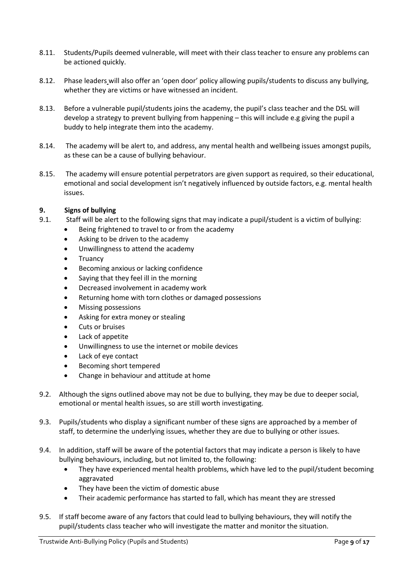- 8.11. Students/Pupils deemed vulnerable, will meet with their class teacher to ensure any problems can be actioned quickly.
- 8.12. Phase leaders will also offer an 'open door' policy allowing pupils/students to discuss any bullying, whether they are victims or have witnessed an incident.
- 8.13. Before a vulnerable pupil/students joins the academy, the pupil's class teacher and the DSL will develop a strategy to prevent bullying from happening – this will include e.g giving the pupil a buddy to help integrate them into the academy.
- 8.14. The academy will be alert to, and address, any mental health and wellbeing issues amongst pupils, as these can be a cause of bullying behaviour.
- 8.15. The academy will ensure potential perpetrators are given support as required, so their educational, emotional and social development isn't negatively influenced by outside factors, e.g. mental health issues.

#### **9. Signs of bullying**

- 9.1. Staff will be alert to the following signs that may indicate a pupil/student is a victim of bullying:
	- Being frightened to travel to or from the academy
	- Asking to be driven to the academy
	- Unwillingness to attend the academy
	- **Truancy**
	- Becoming anxious or lacking confidence
	- Saying that they feel ill in the morning
	- Decreased involvement in academy work
	- Returning home with torn clothes or damaged possessions
	- Missing possessions
	- Asking for extra money or stealing
	- Cuts or bruises
	- Lack of appetite
	- Unwillingness to use the internet or mobile devices
	- Lack of eye contact
	- Becoming short tempered
	- Change in behaviour and attitude at home
- 9.2. Although the signs outlined above may not be due to bullying, they may be due to deeper social, emotional or mental health issues, so are still worth investigating.
- 9.3. Pupils/students who display a significant number of these signs are approached by a member of staff, to determine the underlying issues, whether they are due to bullying or other issues.
- 9.4. In addition, staff will be aware of the potential factors that may indicate a person is likely to have bullying behaviours, including, but not limited to, the following:
	- They have experienced mental health problems, which have led to the pupil/student becoming aggravated
	- They have been the victim of domestic abuse
	- Their academic performance has started to fall, which has meant they are stressed
- 9.5. If staff become aware of any factors that could lead to bullying behaviours, they will notify the pupil/students class teacher who will investigate the matter and monitor the situation.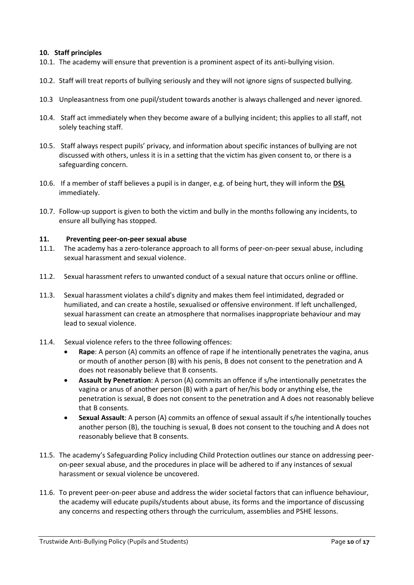#### **10. Staff principles**

- 10.1. The academy will ensure that prevention is a prominent aspect of its anti-bullying vision.
- 10.2. Staff will treat reports of bullying seriously and they will not ignore signs of suspected bullying.
- 10.3 Unpleasantness from one pupil/student towards another is always challenged and never ignored.
- 10.4. Staff act immediately when they become aware of a bullying incident; this applies to all staff, not solely teaching staff.
- 10.5. Staff always respect pupils' privacy, and information about specific instances of bullying are not discussed with others, unless it is in a setting that the victim has given consent to, or there is a safeguarding concern.
- 10.6. If a member of staff believes a pupil is in danger, e.g. of being hurt, they will inform the **DSL** immediately.
- 10.7. Follow-up support is given to both the victim and bully in the months following any incidents, to ensure all bullying has stopped.

#### **11. Preventing peer-on-peer sexual abuse**

- 11.1. The academy has a zero-tolerance approach to all forms of peer-on-peer sexual abuse, including sexual harassment and sexual violence.
- 11.2. Sexual harassment refers to unwanted conduct of a sexual nature that occurs online or offline.
- 11.3. Sexual harassment violates a child's dignity and makes them feel intimidated, degraded or humiliated, and can create a hostile, sexualised or offensive environment. If left unchallenged, sexual harassment can create an atmosphere that normalises inappropriate behaviour and may lead to sexual violence.
- 11.4. Sexual violence refers to the three following offences:
	- **Rape**: A person (A) commits an offence of rape if he intentionally penetrates the vagina, anus or mouth of another person (B) with his penis, B does not consent to the penetration and A does not reasonably believe that B consents.
	- **Assault by Penetration**: A person (A) commits an offence if s/he intentionally penetrates the vagina or anus of another person (B) with a part of her/his body or anything else, the penetration is sexual, B does not consent to the penetration and A does not reasonably believe that B consents.
	- **Sexual Assault**: A person (A) commits an offence of sexual assault if s/he intentionally touches another person (B), the touching is sexual, B does not consent to the touching and A does not reasonably believe that B consents.
- 11.5. The academy's Safeguarding Policy including Child Protection outlines our stance on addressing peeron-peer sexual abuse, and the procedures in place will be adhered to if any instances of sexual harassment or sexual violence be uncovered.
- 11.6. To prevent peer-on-peer abuse and address the wider societal factors that can influence behaviour, the academy will educate pupils/students about abuse, its forms and the importance of discussing any concerns and respecting others through the curriculum, assemblies and PSHE lessons.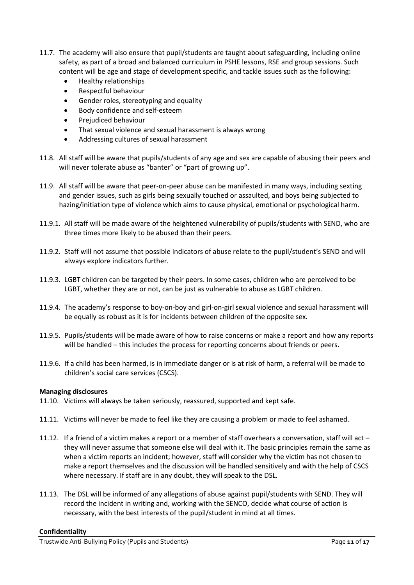- 11.7. The academy will also ensure that pupil/students are taught about safeguarding, including online safety, as part of a broad and balanced curriculum in PSHE lessons, RSE and group sessions. Such content will be age and stage of development specific, and tackle issues such as the following:
	- Healthy relationships
	- Respectful behaviour
	- Gender roles, stereotyping and equality
	- Body confidence and self-esteem
	- Prejudiced behaviour
	- That sexual violence and sexual harassment is always wrong
	- Addressing cultures of sexual harassment
- 11.8. All staff will be aware that pupils/students of any age and sex are capable of abusing their peers and will never tolerate abuse as "banter" or "part of growing up".
- 11.9. All staff will be aware that peer-on-peer abuse can be manifested in many ways, including sexting and gender issues, such as girls being sexually touched or assaulted, and boys being subjected to hazing/initiation type of violence which aims to cause physical, emotional or psychological harm.
- 11.9.1. All staff will be made aware of the heightened vulnerability of pupils/students with SEND, who are three times more likely to be abused than their peers.
- 11.9.2. Staff will not assume that possible indicators of abuse relate to the pupil/student's SEND and will always explore indicators further.
- 11.9.3. LGBT children can be targeted by their peers. In some cases, children who are perceived to be LGBT, whether they are or not, can be just as vulnerable to abuse as LGBT children.
- 11.9.4. The academy's response to boy-on-boy and girl-on-girl sexual violence and sexual harassment will be equally as robust as it is for incidents between children of the opposite sex.
- 11.9.5. Pupils/students will be made aware of how to raise concerns or make a report and how any reports will be handled – this includes the process for reporting concerns about friends or peers.
- 11.9.6. If a child has been harmed, is in immediate danger or is at risk of harm, a referral will be made to children's social care services (CSCS).

#### **Managing disclosures**

- 11.10. Victims will always be taken seriously, reassured, supported and kept safe.
- 11.11. Victims will never be made to feel like they are causing a problem or made to feel ashamed.
- 11.12. If a friend of a victim makes a report or a member of staff overhears a conversation, staff will act they will never assume that someone else will deal with it. The basic principles remain the same as when a victim reports an incident; however, staff will consider why the victim has not chosen to make a report themselves and the discussion will be handled sensitively and with the help of CSCS where necessary. If staff are in any doubt, they will speak to the DSL.
- 11.13. The DSL will be informed of any allegations of abuse against pupil/students with SEND. They will record the incident in writing and, working with the SENCO, decide what course of action is necessary, with the best interests of the pupil/student in mind at all times.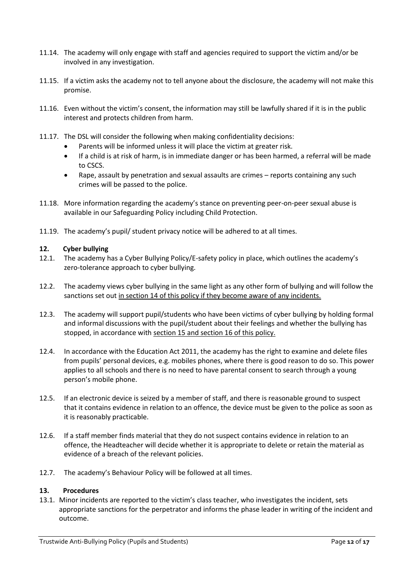- 11.14. The academy will only engage with staff and agencies required to support the victim and/or be involved in any investigation.
- 11.15. If a victim asks the academy not to tell anyone about the disclosure, the academy will not make this promise.
- 11.16. Even without the victim's consent, the information may still be lawfully shared if it is in the public interest and protects children from harm.
- 11.17. The DSL will consider the following when making confidentiality decisions:
	- Parents will be informed unless it will place the victim at greater risk.
	- If a child is at risk of harm, is in immediate danger or has been harmed, a referral will be made to CSCS.
	- Rape, assault by penetration and sexual assaults are crimes reports containing any such crimes will be passed to the police.
- 11.18. More information regarding the academy's stance on preventing peer-on-peer sexual abuse is available in our Safeguarding Policy including Child Protection.
- 11.19. The academy's pupil/ student privacy notice will be adhered to at all times.

#### **12. Cyber bullying**

- 12.1. The academy has a Cyber Bullying Policy/E-safety policy in place, which outlines the academy's zero-tolerance approach to cyber bullying.
- 12.2. The academy views cyber bullying in the same light as any other form of bullying and will follow the sanctions set out in section 14 of this policy if they become aware of any incidents.
- 12.3. The academy will support pupil/students who have been victims of cyber bullying by holding formal and informal discussions with the pupil/student about their feelings and whether the bullying has stopped, in accordance with section 15 and section 16 of this policy.
- 12.4. In accordance with the Education Act 2011, the academy has the right to examine and delete files from pupils' personal devices, e.g. mobiles phones, where there is good reason to do so. This power applies to all schools and there is no need to have parental consent to search through a young person's mobile phone.
- 12.5. If an electronic device is seized by a member of staff, and there is reasonable ground to suspect that it contains evidence in relation to an offence, the device must be given to the police as soon as it is reasonably practicable.
- 12.6. If a staff member finds material that they do not suspect contains evidence in relation to an offence, the Headteacher will decide whether it is appropriate to delete or retain the material as evidence of a breach of the relevant policies.
- 12.7. The academy's Behaviour Policy will be followed at all times.

#### **13. Procedures**

13.1. Minor incidents are reported to the victim's class teacher, who investigates the incident, sets appropriate sanctions for the perpetrator and informs the phase leader in writing of the incident and outcome.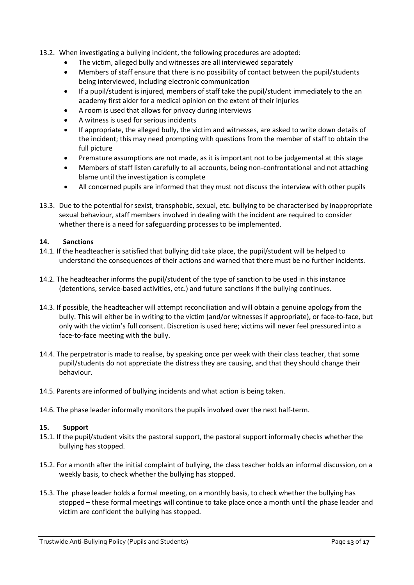- 13.2. When investigating a bullying incident, the following procedures are adopted:
	- The victim, alleged bully and witnesses are all interviewed separately
	- Members of staff ensure that there is no possibility of contact between the pupil/students being interviewed, including electronic communication
	- If a pupil/student is injured, members of staff take the pupil/student immediately to the an academy first aider for a medical opinion on the extent of their injuries
	- A room is used that allows for privacy during interviews
	- A witness is used for serious incidents
	- If appropriate, the alleged bully, the victim and witnesses, are asked to write down details of the incident; this may need prompting with questions from the member of staff to obtain the full picture
	- Premature assumptions are not made, as it is important not to be judgemental at this stage
	- Members of staff listen carefully to all accounts, being non-confrontational and not attaching blame until the investigation is complete
	- All concerned pupils are informed that they must not discuss the interview with other pupils
- 13.3. Due to the potential for sexist, transphobic, sexual, etc. bullying to be characterised by inappropriate sexual behaviour, staff members involved in dealing with the incident are required to consider whether there is a need for safeguarding processes to be implemented.

#### **14. Sanctions**

- 14.1. If the headteacher is satisfied that bullying did take place, the pupil/student will be helped to understand the consequences of their actions and warned that there must be no further incidents.
- 14.2. The headteacher informs the pupil/student of the type of sanction to be used in this instance (detentions, service-based activities, etc.) and future sanctions if the bullying continues.
- 14.3. If possible, the headteacher will attempt reconciliation and will obtain a genuine apology from the bully. This will either be in writing to the victim (and/or witnesses if appropriate), or face-to-face, but only with the victim's full consent. Discretion is used here; victims will never feel pressured into a face-to-face meeting with the bully.
- 14.4. The perpetrator is made to realise, by speaking once per week with their class teacher, that some pupil/students do not appreciate the distress they are causing, and that they should change their behaviour.
- 14.5. Parents are informed of bullying incidents and what action is being taken.
- 14.6. The phase leader informally monitors the pupils involved over the next half-term.

#### **15. Support**

- 15.1. If the pupil/student visits the pastoral support, the pastoral support informally checks whether the bullying has stopped.
- 15.2. For a month after the initial complaint of bullying, the class teacher holds an informal discussion, on a weekly basis, to check whether the bullying has stopped.
- 15.3. The phase leader holds a formal meeting, on a monthly basis, to check whether the bullying has stopped – these formal meetings will continue to take place once a month until the phase leader and victim are confident the bullying has stopped.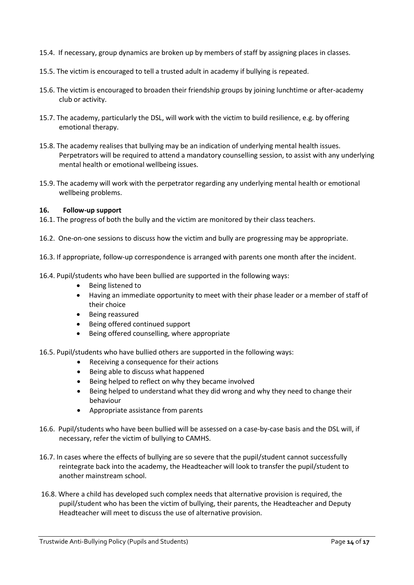- 15.4. If necessary, group dynamics are broken up by members of staff by assigning places in classes.
- 15.5. The victim is encouraged to tell a trusted adult in academy if bullying is repeated.
- 15.6. The victim is encouraged to broaden their friendship groups by joining lunchtime or after-academy club or activity.
- 15.7. The academy, particularly the DSL, will work with the victim to build resilience, e.g. by offering emotional therapy.
- 15.8. The academy realises that bullying may be an indication of underlying mental health issues. Perpetrators will be required to attend a mandatory counselling session, to assist with any underlying mental health or emotional wellbeing issues.
- 15.9. The academy will work with the perpetrator regarding any underlying mental health or emotional wellbeing problems.

#### **16. Follow-up support**

- 16.1. The progress of both the bully and the victim are monitored by their class teachers.
- 16.2. One-on-one sessions to discuss how the victim and bully are progressing may be appropriate.
- 16.3. If appropriate, follow-up correspondence is arranged with parents one month after the incident.
- 16.4. Pupil/students who have been bullied are supported in the following ways:
	- Being listened to
	- Having an immediate opportunity to meet with their phase leader or a member of staff of their choice
	- Being reassured
	- Being offered continued support
	- Being offered counselling, where appropriate
- 16.5. Pupil/students who have bullied others are supported in the following ways:
	- Receiving a consequence for their actions
	- Being able to discuss what happened
	- Being helped to reflect on why they became involved
	- Being helped to understand what they did wrong and why they need to change their behaviour
	- Appropriate assistance from parents
- 16.6. Pupil/students who have been bullied will be assessed on a case-by-case basis and the DSL will, if necessary, refer the victim of bullying to CAMHS.
- 16.7. In cases where the effects of bullying are so severe that the pupil/student cannot successfully reintegrate back into the academy, the Headteacher will look to transfer the pupil/student to another mainstream school.
- 16.8. Where a child has developed such complex needs that alternative provision is required, the pupil/student who has been the victim of bullying, their parents, the Headteacher and Deputy Headteacher will meet to discuss the use of alternative provision.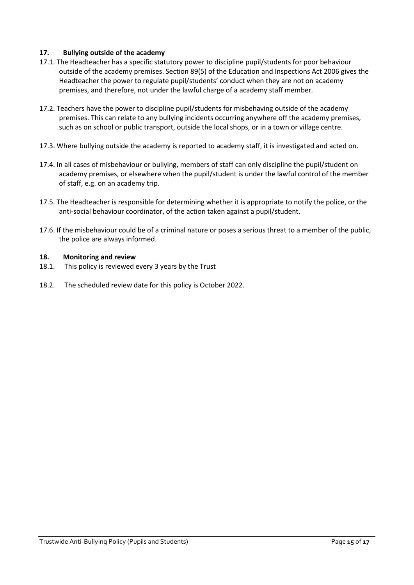#### **17. Bullying outside of the academy**

- 17.1. The Headteacher has a specific statutory power to discipline pupil/students for poor behaviour outside of the academy premises. Section 89(5) of the Education and Inspections Act 2006 gives the Headteacher the power to regulate pupil/students' conduct when they are not on academy premises, and therefore, not under the lawful charge of a academy staff member.
- 17.2. Teachers have the power to discipline pupil/students for misbehaving outside of the academy premises. This can relate to any bullying incidents occurring anywhere off the academy premises, such as on school or public transport, outside the local shops, or in a town or village centre.
- 17.3. Where bullying outside the academy is reported to academy staff, it is investigated and acted on.
- 17.4. In all cases of misbehaviour or bullying, members of staff can only discipline the pupil/student on academy premises, or elsewhere when the pupil/student is under the lawful control of the member of staff, e.g. on an academy trip.
- 17.5. The Headteacher is responsible for determining whether it is appropriate to notify the police, or the anti-social behaviour coordinator, of the action taken against a pupil/student.
- 17.6. If the misbehaviour could be of a criminal nature or poses a serious threat to a member of the public, the police are always informed.

#### **18. Monitoring and review**

- 18.1. This policy is reviewed every 3 years by the Trust
- 18.2. The scheduled review date for this policy is October 2022.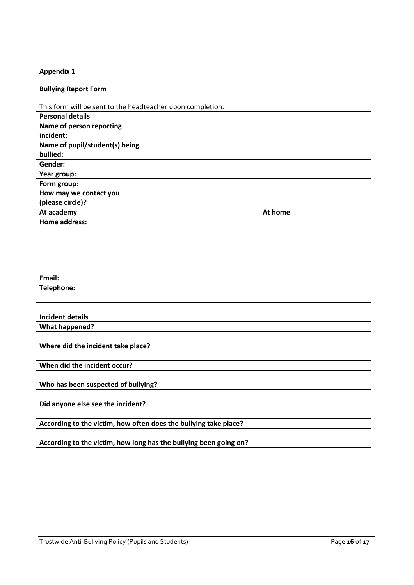#### **Appendix 1**

## **Bullying Report Form**

This form will be sent to the headteacher upon completion.

| <b>Personal details</b>        |         |
|--------------------------------|---------|
| Name of person reporting       |         |
| incident:                      |         |
| Name of pupil/student(s) being |         |
| bullied:                       |         |
| Gender:                        |         |
| Year group:                    |         |
| Form group:                    |         |
| How may we contact you         |         |
| (please circle)?               |         |
|                                |         |
| At academy                     | At home |
| <b>Home address:</b>           |         |
|                                |         |
|                                |         |
|                                |         |
|                                |         |
|                                |         |
| Email:                         |         |
| Telephone:                     |         |

| <b>Incident details</b>                                           |  |
|-------------------------------------------------------------------|--|
| What happened?                                                    |  |
|                                                                   |  |
| Where did the incident take place?                                |  |
|                                                                   |  |
| When did the incident occur?                                      |  |
|                                                                   |  |
| Who has been suspected of bullying?                               |  |
|                                                                   |  |
| Did anyone else see the incident?                                 |  |
|                                                                   |  |
| According to the victim, how often does the bullying take place?  |  |
|                                                                   |  |
| According to the victim, how long has the bullying been going on? |  |
|                                                                   |  |